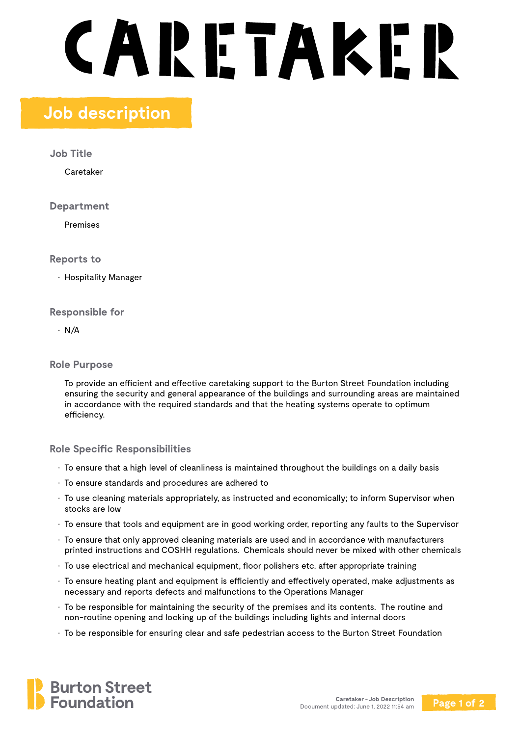# **CARETAKER**

# **Job description**

**Job Title**

Caretaker

**Department**

Premises

**Reports to**

• Hospitality Manager

# **Responsible for**

• N/A

# **Role Purpose**

To provide an efficient and effective caretaking support to the Burton Street Foundation including ensuring the security and general appearance of the buildings and surrounding areas are maintained in accordance with the required standards and that the heating systems operate to optimum efficiency.

# **Role Specific Responsibilities**

- To ensure that a high level of cleanliness is maintained throughout the buildings on a daily basis
- To ensure standards and procedures are adhered to
- To use cleaning materials appropriately, as instructed and economically; to inform Supervisor when stocks are low
- To ensure that tools and equipment are in good working order, reporting any faults to the Supervisor
- To ensure that only approved cleaning materials are used and in accordance with manufacturers printed instructions and COSHH regulations. Chemicals should never be mixed with other chemicals
- To use electrical and mechanical equipment, floor polishers etc. after appropriate training
- To ensure heating plant and equipment is efficiently and effectively operated, make adjustments as necessary and reports defects and malfunctions to the Operations Manager
- To be responsible for maintaining the security of the premises and its contents. The routine and non-routine opening and locking up of the buildings including lights and internal doors
- To be responsible for ensuring clear and safe pedestrian access to the Burton Street Foundation